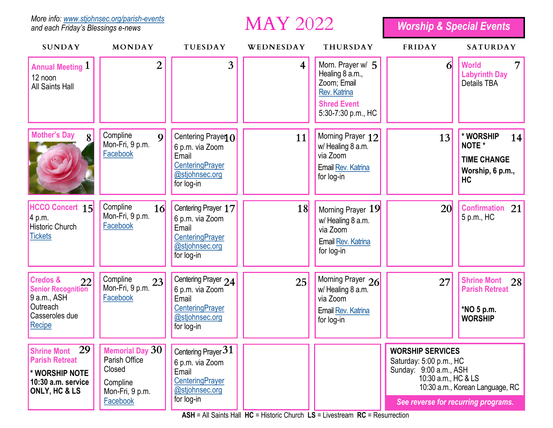*More info: [www.stjohnsec.org/parish-events](http://www.stjohnsec.org/parish-events) and each Friday's Blessings e-news*

**MAY 2022** 

*Worship & Special Events*

| <b>SUNDAY</b>                                                                                                 | MONDAY                                                             | <b>TUESDAY</b>                                                                                                     | WEDNESDAY | <b>THURSDAY</b>                                                                                                        | <b>FRIDAY</b>                                                                                                                                                                 | <b>SATURDAY</b>                                                                  |
|---------------------------------------------------------------------------------------------------------------|--------------------------------------------------------------------|--------------------------------------------------------------------------------------------------------------------|-----------|------------------------------------------------------------------------------------------------------------------------|-------------------------------------------------------------------------------------------------------------------------------------------------------------------------------|----------------------------------------------------------------------------------|
| <b>Annual Meeting 1</b><br>12 noon<br><b>All Saints Hall</b>                                                  | 2                                                                  | 3                                                                                                                  | 4         | Morn. Prayer w/ 5<br>Healing 8 a.m.,<br>Zoom; Email<br><b>Rev. Katrina</b><br><b>Shred Event</b><br>5:30-7:30 p.m., HC | 61                                                                                                                                                                            | <b>World</b><br><b>Labyrinth Day</b><br><b>Details TBA</b>                       |
| <b>Mother's Day</b><br>8                                                                                      | Compline<br> 9 <br>Mon-Fri, 9 p.m.<br>Facebook                     | Centering Prayen 0<br>6 p.m. via Zoom<br>Email<br>CenteringPrayer<br>@stjohnsec.org<br>for log-in                  | 11        | Morning Prayer 12<br>w/Healing 8 a.m.<br>via Zoom<br>Email Rev. Katrina<br>for log-in                                  | 13                                                                                                                                                                            | * WORSHIP<br>14<br>NOTE *<br><b>TIME CHANGE</b><br>Worship, 6 p.m.,<br><b>HC</b> |
| <b>HCCO Concert 15</b><br>4 p.m.<br><b>Historic Church</b><br><b>Tickets</b>                                  | Compline<br>16<br>Mon-Fri, 9 p.m.<br>Facebook                      | Centering Prayer 17<br>6 p.m. via Zoom<br>Email<br><b>CenteringPrayer</b><br>@stjohnsec.org<br>for log-in          | 18        | Morning Prayer 19<br>w/Healing 8 a.m.<br>via Zoom<br>Email Rev. Katrina<br>for log-in                                  | <b>20</b>                                                                                                                                                                     | Confirmation 21<br>5 p.m., HC                                                    |
| <b>Credos &amp;</b><br>22<br><b>Senior Recognition</b><br>9 a.m., ASH<br>Outreach<br>Casseroles due<br>Recipe | Compline<br>23<br>Mon-Fri, 9 p.m.<br>Facebook                      | Centering Prayer 24<br>6 p.m. via Zoom<br>Email<br><b>CenteringPrayer</b><br>@stjohnsec.org<br>for log-in          | 25        | Morning Prayer 26<br>w/ Healing 8 a.m.<br>via Zoom<br>Email Rev. Katrina<br>for log-in                                 | 27                                                                                                                                                                            | Shrine Mont 28<br><b>Parish Retreat</b><br>*NO 5 p.m.<br><b>WORSHIP</b>          |
| 29<br><b>Shrine Mont</b><br><b>Parish Retreat</b><br>* WORSHIP NOTE<br>10:30 a.m. service<br>ONLY, HC & LS    | Parish Office<br>Closed<br>Compline<br>Mon-Fri, 9 p.m.<br>Facebook | Memorial Day 30 Centering Prayer 31<br>6 p.m. via Zoom<br>Email<br>CenteringPrayer<br>@stjohnsec.org<br>for log-in |           |                                                                                                                        | <b>WORSHIP SERVICES</b><br>Saturday: 5:00 p.m., HC<br>Sunday: 9:00 a.m., ASH<br>10:30 a.m., HC & LS<br>10:30 a.m., Korean Language, RC<br>See reverse for recurring programs. |                                                                                  |

**ASH** = All Saints Hall **HC** = Historic Church **LS** = Livestream **RC** = Resurrection